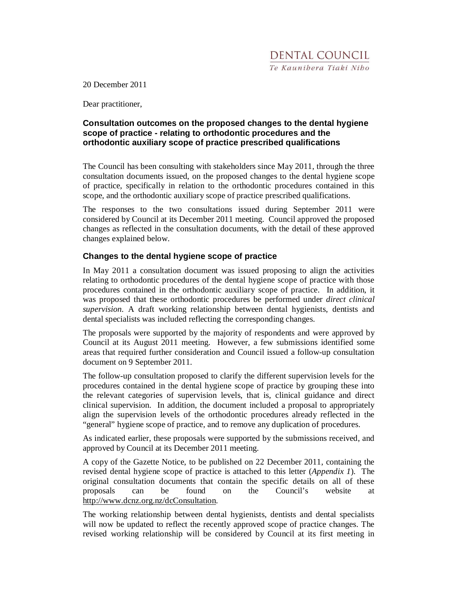20 December 2011

Dear practitioner,

## **Consultation outcomes on the proposed changes to the dental hygiene scope of practice - relating to orthodontic procedures and the orthodontic auxiliary scope of practice prescribed qualifications**

The Council has been consulting with stakeholders since May 2011, through the three consultation documents issued, on the proposed changes to the dental hygiene scope of practice, specifically in relation to the orthodontic procedures contained in this scope, and the orthodontic auxiliary scope of practice prescribed qualifications.

The responses to the two consultations issued during September 2011 were considered by Council at its December 2011 meeting. Council approved the proposed changes as reflected in the consultation documents, with the detail of these approved changes explained below.

## **Changes to the dental hygiene scope of practice**

In May 2011 a consultation document was issued proposing to align the activities relating to orthodontic procedures of the dental hygiene scope of practice with those procedures contained in the orthodontic auxiliary scope of practice. In addition, it was proposed that these orthodontic procedures be performed under *direct clinical supervision.* A draft working relationship between dental hygienists, dentists and dental specialists was included reflecting the corresponding changes.

The proposals were supported by the majority of respondents and were approved by Council at its August 2011 meeting. However, a few submissions identified some areas that required further consideration and Council issued a follow-up consultation document on 9 September 2011.

The follow-up consultation proposed to clarify the different supervision levels for the procedures contained in the dental hygiene scope of practice by grouping these into the relevant categories of supervision levels, that is, clinical guidance and direct clinical supervision. In addition, the document included a proposal to appropriately align the supervision levels of the orthodontic procedures already reflected in the "general" hygiene scope of practice, and to remove any duplication of procedures.

As indicated earlier, these proposals were supported by the submissions received, and approved by Council at its December 2011 meeting.

A copy of the Gazette Notice, to be published on 22 December 2011, containing the revised dental hygiene scope of practice is attached to this letter (*Appendix 1*). The original consultation documents that contain the specific details on all of these proposals can be found on the Council's website at http://www.dcnz.org.nz/dcConsultation.

The working relationship between dental hygienists, dentists and dental specialists will now be updated to reflect the recently approved scope of practice changes. The revised working relationship will be considered by Council at its first meeting in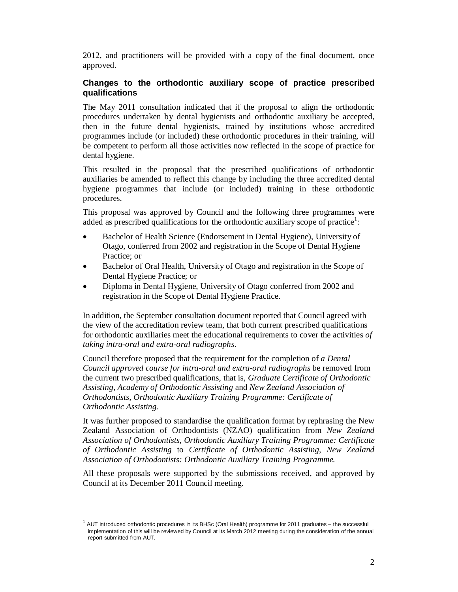2012, and practitioners will be provided with a copy of the final document, once approved.

## **Changes to the orthodontic auxiliary scope of practice prescribed qualifications**

The May 2011 consultation indicated that if the proposal to align the orthodontic procedures undertaken by dental hygienists and orthodontic auxiliary be accepted, then in the future dental hygienists, trained by institutions whose accredited programmes include (or included) these orthodontic procedures in their training, will be competent to perform all those activities now reflected in the scope of practice for dental hygiene.

This resulted in the proposal that the prescribed qualifications of orthodontic auxiliaries be amended to reflect this change by including the three accredited dental hygiene programmes that include (or included) training in these orthodontic procedures.

This proposal was approved by Council and the following three programmes were added as prescribed qualifications for the orthodontic auxiliary scope of practice<sup>1</sup>:

- Bachelor of Health Science (Endorsement in Dental Hygiene), University of Otago, conferred from 2002 and registration in the Scope of Dental Hygiene Practice; or
- Bachelor of Oral Health, University of Otago and registration in the Scope of Dental Hygiene Practice; or
- Diploma in Dental Hygiene, University of Otago conferred from 2002 and registration in the Scope of Dental Hygiene Practice.

In addition, the September consultation document reported that Council agreed with the view of the accreditation review team, that both current prescribed qualifications for orthodontic auxiliaries meet the educational requirements to cover the activities *of taking intra-oral and extra-oral radiographs*.

Council therefore proposed that the requirement for the completion of *a Dental Council approved course for intra-oral and extra-oral radiographs* be removed from the current two prescribed qualifications, that is, *Graduate Certificate of Orthodontic Assisting, Academy of Orthodontic Assisting* and *New Zealand Association of Orthodontists, Orthodontic Auxiliary Training Programme: Certificate of Orthodontic Assisting*.

It was further proposed to standardise the qualification format by rephrasing the New Zealand Association of Orthodontists (NZAO) qualification from *New Zealand Association of Orthodontists, Orthodontic Auxiliary Training Programme: Certificate of Orthodontic Assisting* to *Certificate of Orthodontic Assisting, New Zealand Association of Orthodontists: Orthodontic Auxiliary Training Programme.* 

All these proposals were supported by the submissions received, and approved by Council at its December 2011 Council meeting.

 $\overline{a}$ 

<sup>1</sup> AUT introduced orthodontic procedures in its BHSc (Oral Health) programme for 2011 graduates – the successful implementation of this will be reviewed by Council at its March 2012 meeting during the consideration of the annual report submitted from AUT.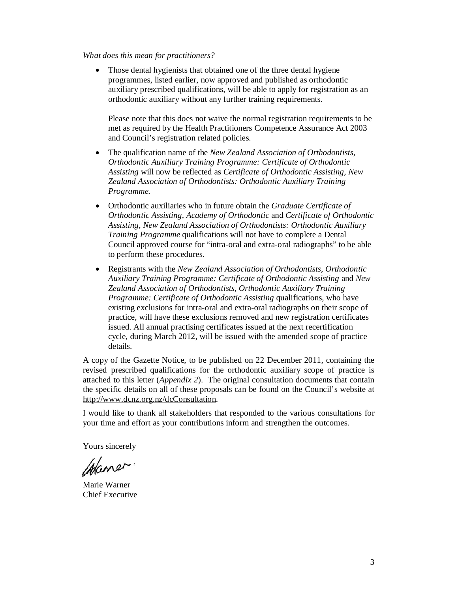#### *What does this mean for practitioners?*

Those dental hygienists that obtained one of the three dental hygiene programmes, listed earlier, now approved and published as orthodontic auxiliary prescribed qualifications, will be able to apply for registration as an orthodontic auxiliary without any further training requirements.

Please note that this does not waive the normal registration requirements to be met as required by the Health Practitioners Competence Assurance Act 2003 and Council's registration related policies.

- The qualification name of the *New Zealand Association of Orthodontists, Orthodontic Auxiliary Training Programme: Certificate of Orthodontic Assisting* will now be reflected as *Certificate of Orthodontic Assisting, New Zealand Association of Orthodontists: Orthodontic Auxiliary Training Programme.*
- Orthodontic auxiliaries who in future obtain the *Graduate Certificate of Orthodontic Assisting, Academy of Orthodontic* and *Certificate of Orthodontic Assisting, New Zealand Association of Orthodontists: Orthodontic Auxiliary Training Programme* qualifications will not have to complete a Dental Council approved course for "intra-oral and extra-oral radiographs" to be able to perform these procedures.
- Registrants with the *New Zealand Association of Orthodontists, Orthodontic Auxiliary Training Programme: Certificate of Orthodontic Assisting* and *New Zealand Association of Orthodontists, Orthodontic Auxiliary Training Programme: Certificate of Orthodontic Assisting qualifications, who have* existing exclusions for intra-oral and extra-oral radiographs on their scope of practice, will have these exclusions removed and new registration certificates issued. All annual practising certificates issued at the next recertification cycle, during March 2012, will be issued with the amended scope of practice details.

A copy of the Gazette Notice, to be published on 22 December 2011, containing the revised prescribed qualifications for the orthodontic auxiliary scope of practice is attached to this letter (*Appendix 2*). The original consultation documents that contain the specific details on all of these proposals can be found on the Council's website at http://www.dcnz.org.nz/dcConsultation.

I would like to thank all stakeholders that responded to the various consultations for your time and effort as your contributions inform and strengthen the outcomes.

Yours sincerely

Maner.

Marie Warner Chief Executive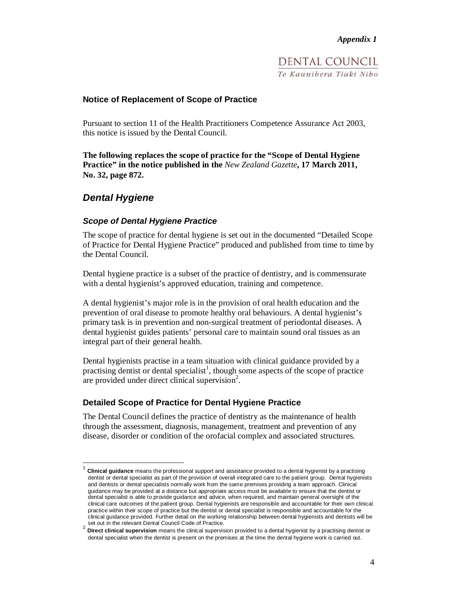DENTAL COUNCIL Te Kaunibera Tiaki Nibo

## **Notice of Replacement of Scope of Practice**

Pursuant to section 11 of the Health Practitioners Competence Assurance Act 2003, this notice is issued by the Dental Council.

**The following replaces the scope of practice for the "Scope of Dental Hygiene Practice" in the notice published in the** *New Zealand Gazette***, 17 March 2011, No. 32, page 872.** 

# **Dental Hygiene**

 $\overline{a}$ 

### **Scope of Dental Hygiene Practice**

The scope of practice for dental hygiene is set out in the documented "Detailed Scope of Practice for Dental Hygiene Practice" produced and published from time to time by the Dental Council.

Dental hygiene practice is a subset of the practice of dentistry, and is commensurate with a dental hygienist's approved education, training and competence.

A dental hygienist's major role is in the provision of oral health education and the prevention of oral disease to promote healthy oral behaviours. A dental hygienist's primary task is in prevention and non-surgical treatment of periodontal diseases. A dental hygienist guides patients' personal care to maintain sound oral tissues as an integral part of their general health.

Dental hygienists practise in a team situation with clinical guidance provided by a practising dentist or dental specialist<sup>1</sup>, though some aspects of the scope of practice are provided under direct clinical supervision<sup>2</sup>.

### **Detailed Scope of Practice for Dental Hygiene Practice**

The Dental Council defines the practice of dentistry as the maintenance of health through the assessment, diagnosis, management, treatment and prevention of any disease, disorder or condition of the orofacial complex and associated structures.

<sup>1</sup> **Clinical guidance** means the professional support and assistance provided to a dental hygienist by a practising dentist or dental specialist as part of the provision of overall integrated care to the patient group. Dental hygienists and dentists or dental specialists normally work from the same premises providing a team approach. Clinical guidance may be provided at a distance but appropriate access must be available to ensure that the dentist or dental specialist is able to provide guidance and advice, when required, and maintain general oversight of the clinical care outcomes of the patient group. Dental hygienists are responsible and accountable for their own clinical practice within their scope of practice but the dentist or dental specialist is responsible and accountable for the clinical guidance provided. Further detail on the working relationship between dental hygienists and dentists will be set out in the relevant Dental Council Code of Practice.

<sup>2</sup> **Direct clinical supervision** means the clinical supervision provided to a dental hygienist by a practising dentist or dental specialist when the dentist is present on the premises at the time the dental hygiene work is carried out.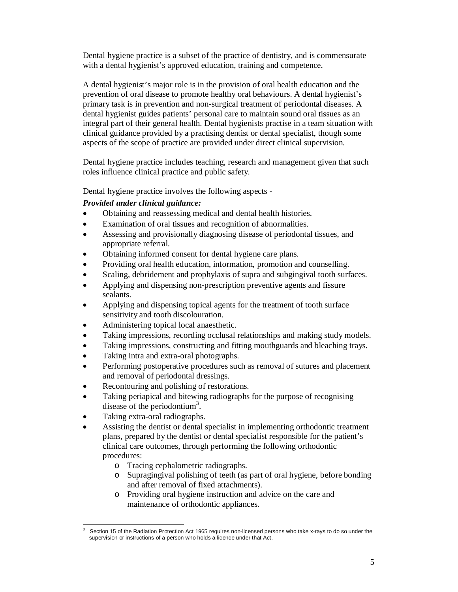Dental hygiene practice is a subset of the practice of dentistry, and is commensurate with a dental hygienist's approved education, training and competence.

A dental hygienist's major role is in the provision of oral health education and the prevention of oral disease to promote healthy oral behaviours. A dental hygienist's primary task is in prevention and non-surgical treatment of periodontal diseases. A dental hygienist guides patients' personal care to maintain sound oral tissues as an integral part of their general health. Dental hygienists practise in a team situation with clinical guidance provided by a practising dentist or dental specialist, though some aspects of the scope of practice are provided under direct clinical supervision.

Dental hygiene practice includes teaching, research and management given that such roles influence clinical practice and public safety.

Dental hygiene practice involves the following aspects -

## *Provided under clinical guidance:*

- Obtaining and reassessing medical and dental health histories.
- Examination of oral tissues and recognition of abnormalities.
- Assessing and provisionally diagnosing disease of periodontal tissues, and appropriate referral.
- Obtaining informed consent for dental hygiene care plans.
- Providing oral health education, information, promotion and counselling.
- Scaling, debridement and prophylaxis of supra and subgingival tooth surfaces.
- Applying and dispensing non-prescription preventive agents and fissure sealants.
- Applying and dispensing topical agents for the treatment of tooth surface sensitivity and tooth discolouration.
- Administering topical local anaesthetic.
- Taking impressions, recording occlusal relationships and making study models.
- Taking impressions, constructing and fitting mouthguards and bleaching trays.
- Taking intra and extra-oral photographs.
- Performing postoperative procedures such as removal of sutures and placement and removal of periodontal dressings.
- Recontouring and polishing of restorations.
- Taking periapical and bitewing radiographs for the purpose of recognising disease of the periodontium<sup>3</sup>.
- Taking extra-oral radiographs.
- Assisting the dentist or dental specialist in implementing orthodontic treatment plans, prepared by the dentist or dental specialist responsible for the patient's clinical care outcomes, through performing the following orthodontic procedures:
	- o Tracing cephalometric radiographs.
	- o Supragingival polishing of teeth (as part of oral hygiene, before bonding and after removal of fixed attachments).
	- o Providing oral hygiene instruction and advice on the care and maintenance of orthodontic appliances.

 $\overline{a}$ 3 Section 15 of the Radiation Protection Act 1965 requires non-licensed persons who take x-rays to do so under the supervision or instructions of a person who holds a licence under that Act.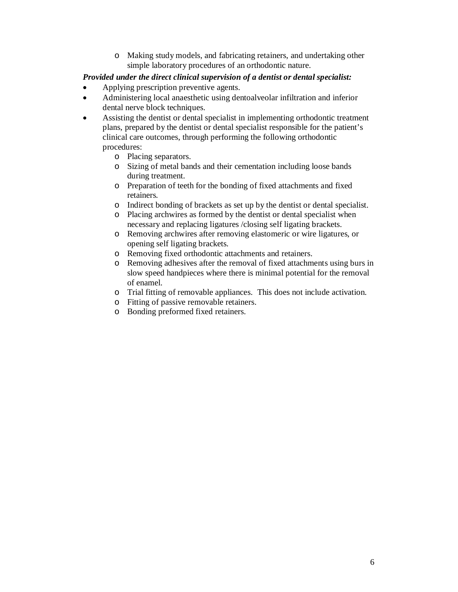o Making study models, and fabricating retainers, and undertaking other simple laboratory procedures of an orthodontic nature.

## *Provided under the direct clinical supervision of a dentist or dental specialist:*

- Applying prescription preventive agents.
- Administering local anaesthetic using dentoalveolar infiltration and inferior dental nerve block techniques.
- Assisting the dentist or dental specialist in implementing orthodontic treatment plans, prepared by the dentist or dental specialist responsible for the patient's clinical care outcomes, through performing the following orthodontic procedures:
	- o Placing separators.
	- o Sizing of metal bands and their cementation including loose bands during treatment.
	- o Preparation of teeth for the bonding of fixed attachments and fixed retainers.
	- o Indirect bonding of brackets as set up by the dentist or dental specialist.
	- o Placing archwires as formed by the dentist or dental specialist when necessary and replacing ligatures /closing self ligating brackets.
	- o Removing archwires after removing elastomeric or wire ligatures, or opening self ligating brackets.
	- o Removing fixed orthodontic attachments and retainers.
	- o Removing adhesives after the removal of fixed attachments using burs in slow speed handpieces where there is minimal potential for the removal of enamel.
	- o Trial fitting of removable appliances. This does not include activation.
	- o Fitting of passive removable retainers.
	- o Bonding preformed fixed retainers.